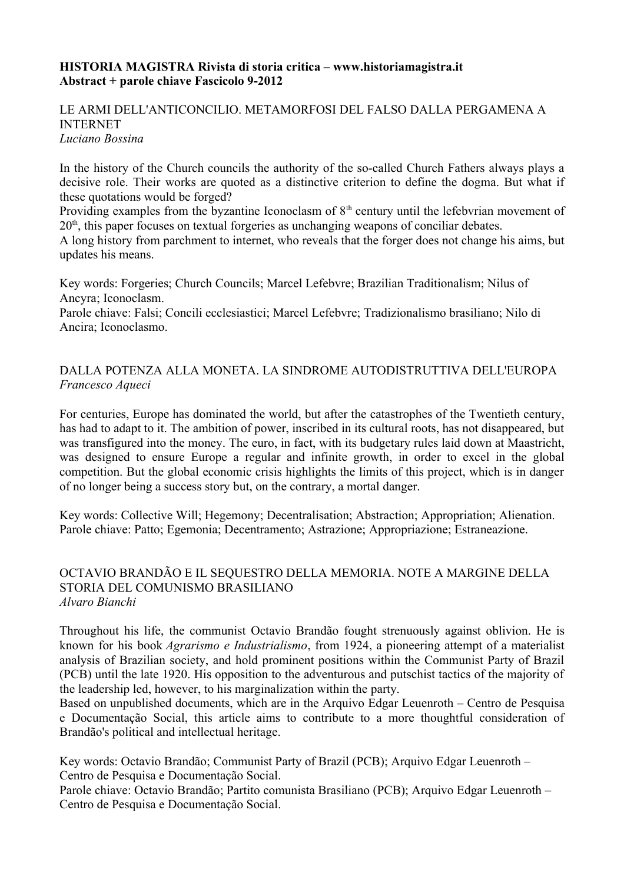#### **HISTORIA MAGISTRA Rivista di storia critica – www.historiamagistra.it Abstract + parole chiave Fascicolo 9-2012**

#### LE ARMI DELL'ANTICONCILIO. METAMORFOSI DEL FALSO DALLA PERGAMENA A INTERNET *Luciano Bossina*

In the history of the Church councils the authority of the so-called Church Fathers always plays a decisive role. Their works are quoted as a distinctive criterion to define the dogma. But what if these quotations would be forged?

Providing examples from the byzantine Iconoclasm of  $8<sup>th</sup>$  century until the lefebvrian movement of  $20<sup>th</sup>$ , this paper focuses on textual forgeries as unchanging weapons of conciliar debates.

A long history from parchment to internet, who reveals that the forger does not change his aims, but updates his means.

Key words: Forgeries; Church Councils; Marcel Lefebvre; Brazilian Traditionalism; Nilus of Ancyra; Iconoclasm.

Parole chiave: Falsi; Concili ecclesiastici; Marcel Lefebvre; Tradizionalismo brasiliano; Nilo di Ancira; Iconoclasmo.

# DALLA POTENZA ALLA MONETA. LA SINDROME AUTODISTRUTTIVA DELL'EUROPA *Francesco Aqueci*

For centuries, Europe has dominated the world, but after the catastrophes of the Twentieth century, has had to adapt to it. The ambition of power, inscribed in its cultural roots, has not disappeared, but was transfigured into the money. The euro, in fact, with its budgetary rules laid down at Maastricht, was designed to ensure Europe a regular and infinite growth, in order to excel in the global competition. But the global economic crisis highlights the limits of this project, which is in danger of no longer being a success story but, on the contrary, a mortal danger.

Key words: Collective Will; Hegemony; Decentralisation; Abstraction; Appropriation; Alienation. Parole chiave: Patto; Egemonia; Decentramento; Astrazione; Appropriazione; Estraneazione.

#### OCTAVIO BRANDÃO E IL SEQUESTRO DELLA MEMORIA. NOTE A MARGINE DELLA STORIA DEL COMUNISMO BRASILIANO *Alvaro Bianchi*

Throughout his life, the communist Octavio Brandão fought strenuously against oblivion. He is known for his book *Agrarismo e Industrialismo*, from 1924, a pioneering attempt of a materialist analysis of Brazilian society, and hold prominent positions within the Communist Party of Brazil (PCB) until the late 1920. His opposition to the adventurous and putschist tactics of the majority of the leadership led, however, to his marginalization within the party.

Based on unpublished documents, which are in the Arquivo Edgar Leuenroth – Centro de Pesquisa e Documentação Social, this article aims to contribute to a more thoughtful consideration of Brandão's political and intellectual heritage.

Key words: Octavio Brandão; Communist Party of Brazil (PCB); Arquivo Edgar Leuenroth – Centro de Pesquisa e Documentação Social.

Parole chiave: Octavio Brandão; Partito comunista Brasiliano (PCB); Arquivo Edgar Leuenroth – Centro de Pesquisa e Documentação Social.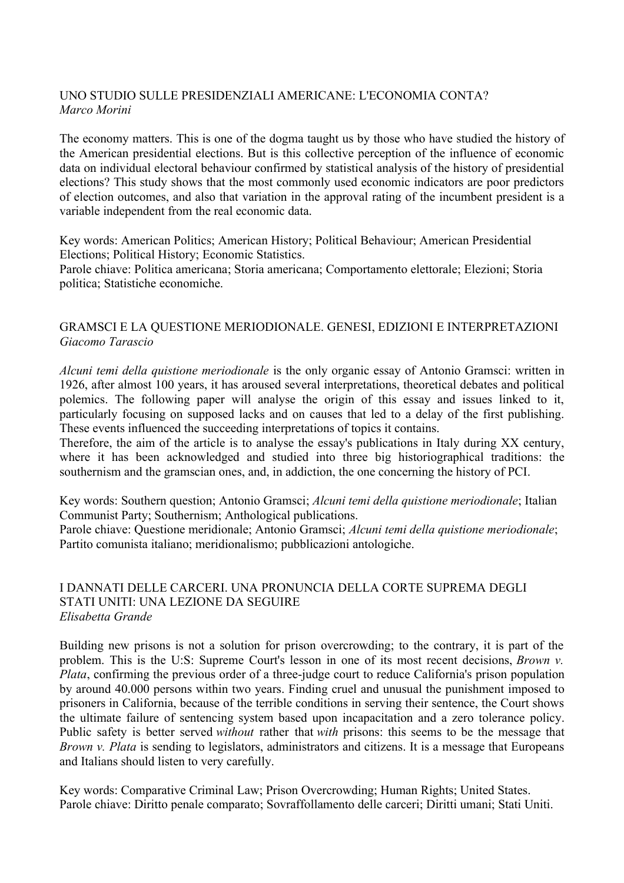### UNO STUDIO SULLE PRESIDENZIALI AMERICANE: L'ECONOMIA CONTA? *Marco Morini*

The economy matters. This is one of the dogma taught us by those who have studied the history of the American presidential elections. But is this collective perception of the influence of economic data on individual electoral behaviour confirmed by statistical analysis of the history of presidential elections? This study shows that the most commonly used economic indicators are poor predictors of election outcomes, and also that variation in the approval rating of the incumbent president is a variable independent from the real economic data.

Key words: American Politics; American History; Political Behaviour; American Presidential Elections; Political History; Economic Statistics.

Parole chiave: Politica americana; Storia americana; Comportamento elettorale; Elezioni; Storia politica; Statistiche economiche.

# GRAMSCI E LA QUESTIONE MERIODIONALE. GENESI, EDIZIONI E INTERPRETAZIONI *Giacomo Tarascio*

*Alcuni temi della quistione meriodionale* is the only organic essay of Antonio Gramsci: written in 1926, after almost 100 years, it has aroused several interpretations, theoretical debates and political polemics. The following paper will analyse the origin of this essay and issues linked to it, particularly focusing on supposed lacks and on causes that led to a delay of the first publishing. These events influenced the succeeding interpretations of topics it contains.

Therefore, the aim of the article is to analyse the essay's publications in Italy during XX century, where it has been acknowledged and studied into three big historiographical traditions: the southernism and the gramscian ones, and, in addiction, the one concerning the history of PCI.

Key words: Southern question; Antonio Gramsci; *Alcuni temi della quistione meriodionale*; Italian Communist Party; Southernism; Anthological publications.

Parole chiave: Questione meridionale; Antonio Gramsci; *Alcuni temi della quistione meriodionale*; Partito comunista italiano; meridionalismo; pubblicazioni antologiche.

### I DANNATI DELLE CARCERI. UNA PRONUNCIA DELLA CORTE SUPREMA DEGLI STATI UNITI: UNA LEZIONE DA SEGUIRE *Elisabetta Grande*

Building new prisons is not a solution for prison overcrowding; to the contrary, it is part of the problem. This is the U:S: Supreme Court's lesson in one of its most recent decisions, *Brown v. Plata*, confirming the previous order of a three-judge court to reduce California's prison population by around 40.000 persons within two years. Finding cruel and unusual the punishment imposed to prisoners in California, because of the terrible conditions in serving their sentence, the Court shows the ultimate failure of sentencing system based upon incapacitation and a zero tolerance policy. Public safety is better served *without* rather that *with* prisons: this seems to be the message that *Brown v. Plata* is sending to legislators, administrators and citizens. It is a message that Europeans and Italians should listen to very carefully.

Key words: Comparative Criminal Law; Prison Overcrowding; Human Rights; United States. Parole chiave: Diritto penale comparato; Sovraffollamento delle carceri; Diritti umani; Stati Uniti.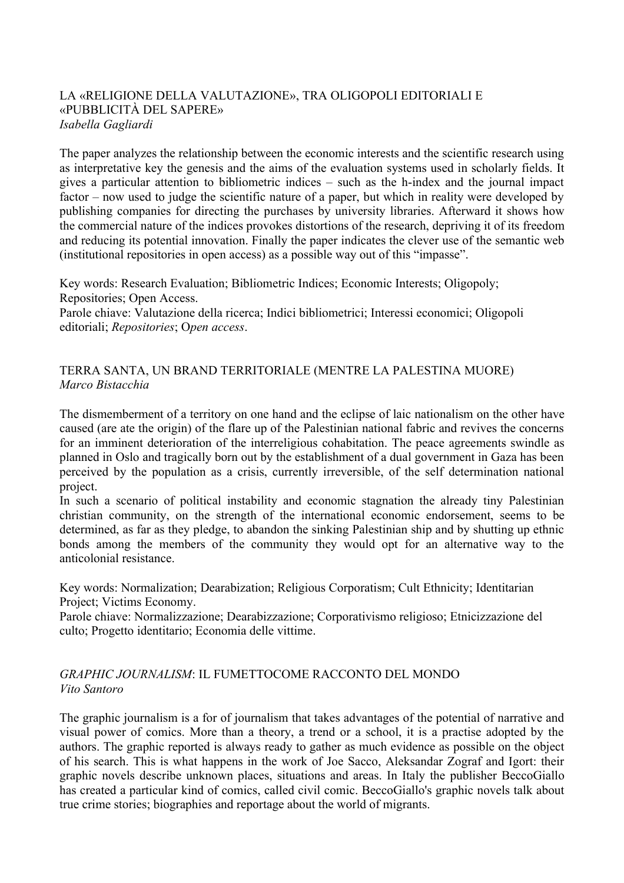### LA «RELIGIONE DELLA VALUTAZIONE», TRA OLIGOPOLI EDITORIALI E «PUBBLICITÀ DEL SAPERE» *Isabella Gagliardi*

The paper analyzes the relationship between the economic interests and the scientific research using as interpretative key the genesis and the aims of the evaluation systems used in scholarly fields. It gives a particular attention to bibliometric indices – such as the h-index and the journal impact factor – now used to judge the scientific nature of a paper, but which in reality were developed by publishing companies for directing the purchases by university libraries. Afterward it shows how the commercial nature of the indices provokes distortions of the research, depriving it of its freedom and reducing its potential innovation. Finally the paper indicates the clever use of the semantic web (institutional repositories in open access) as a possible way out of this "impasse".

Key words: Research Evaluation; Bibliometric Indices; Economic Interests; Oligopoly; Repositories; Open Access.

Parole chiave: Valutazione della ricerca; Indici bibliometrici; Interessi economici; Oligopoli editoriali; *Repositories*; O*pen access*.

# TERRA SANTA, UN BRAND TERRITORIALE (MENTRE LA PALESTINA MUORE) *Marco Bistacchia*

The dismemberment of a territory on one hand and the eclipse of laic nationalism on the other have caused (are ate the origin) of the flare up of the Palestinian national fabric and revives the concerns for an imminent deterioration of the interreligious cohabitation. The peace agreements swindle as planned in Oslo and tragically born out by the establishment of a dual government in Gaza has been perceived by the population as a crisis, currently irreversible, of the self determination national project.

In such a scenario of political instability and economic stagnation the already tiny Palestinian christian community, on the strength of the international economic endorsement, seems to be determined, as far as they pledge, to abandon the sinking Palestinian ship and by shutting up ethnic bonds among the members of the community they would opt for an alternative way to the anticolonial resistance.

Key words: Normalization; Dearabization; Religious Corporatism; Cult Ethnicity; Identitarian Project; Victims Economy.

Parole chiave: Normalizzazione; Dearabizzazione; Corporativismo religioso; Etnicizzazione del culto; Progetto identitario; Economia delle vittime.

### *GRAPHIC JOURNALISM*: IL FUMETTOCOME RACCONTO DEL MONDO *Vito Santoro*

The graphic journalism is a for of journalism that takes advantages of the potential of narrative and visual power of comics. More than a theory, a trend or a school, it is a practise adopted by the authors. The graphic reported is always ready to gather as much evidence as possible on the object of his search. This is what happens in the work of Joe Sacco, Aleksandar Zograf and Igort: their graphic novels describe unknown places, situations and areas. In Italy the publisher BeccoGiallo has created a particular kind of comics, called civil comic. BeccoGiallo's graphic novels talk about true crime stories; biographies and reportage about the world of migrants.